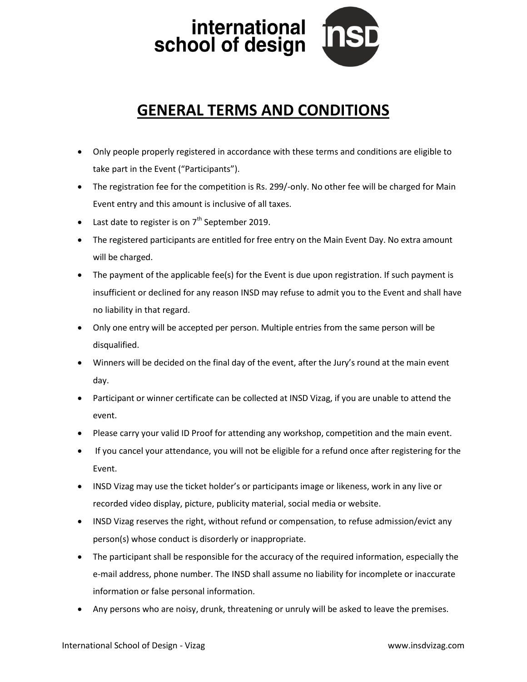

## **GENERAL TERMS AND CONDITIONS**

- Only people properly registered in accordance with these terms and conditions are eligible to take part in the Event ("Participants").
- The registration fee for the competition is Rs. 299/-only. No other fee will be charged for Main Event entry and this amount is inclusive of all taxes.
- Last date to register is on  $7<sup>th</sup>$  September 2019.
- The registered participants are entitled for free entry on the Main Event Day. No extra amount will be charged.
- The payment of the applicable fee(s) for the Event is due upon registration. If such payment is insufficient or declined for any reason INSD may refuse to admit you to the Event and shall have no liability in that regard.
- Only one entry will be accepted per person. Multiple entries from the same person will be disqualified.
- Winners will be decided on the final day of the event, after the Jury's round at the main event day.
- Participant or winner certificate can be collected at INSD Vizag, if you are unable to attend the event.
- Please carry your valid ID Proof for attending any workshop, competition and the main event.
- If you cancel your attendance, you will not be eligible for a refund once after registering for the Event.
- INSD Vizag may use the ticket holder's or participants image or likeness, work in any live or recorded video display, picture, publicity material, social media or website.
- INSD Vizag reserves the right, without refund or compensation, to refuse admission/evict any person(s) whose conduct is disorderly or inappropriate.
- The participant shall be responsible for the accuracy of the required information, especially the e-mail address, phone number. The INSD shall assume no liability for incomplete or inaccurate information or false personal information.
- Any persons who are noisy, drunk, threatening or unruly will be asked to leave the premises.